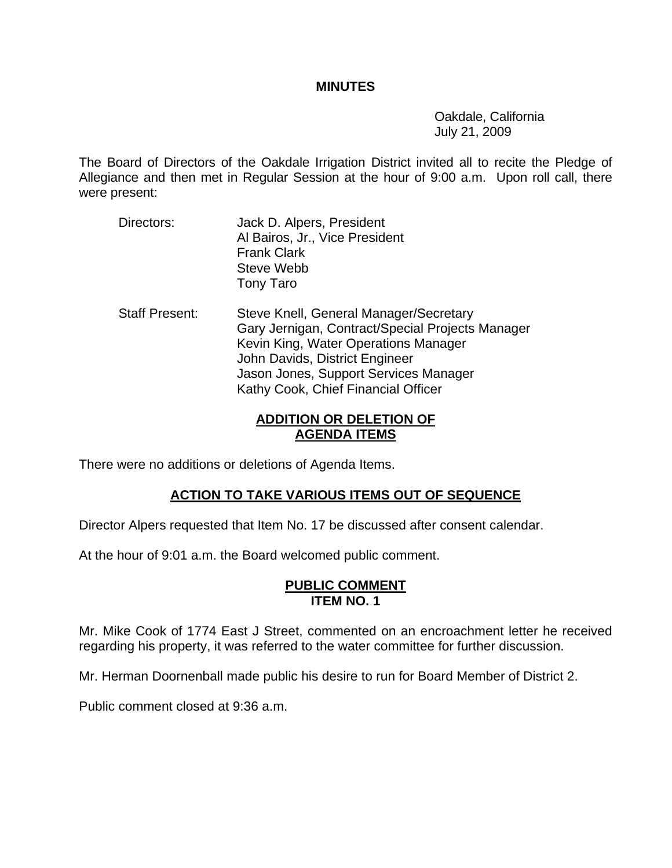#### **MINUTES**

 Oakdale, California July 21, 2009

The Board of Directors of the Oakdale Irrigation District invited all to recite the Pledge of Allegiance and then met in Regular Session at the hour of 9:00 a.m. Upon roll call, there were present:

- Directors: Jack D. Alpers, President Al Bairos, Jr., Vice President Frank Clark Steve Webb Tony Taro
- Staff Present: Steve Knell, General Manager/Secretary Gary Jernigan, Contract/Special Projects Manager Kevin King, Water Operations Manager John Davids, District Engineer Jason Jones, Support Services Manager Kathy Cook, Chief Financial Officer

## **ADDITION OR DELETION OF AGENDA ITEMS**

There were no additions or deletions of Agenda Items.

# **ACTION TO TAKE VARIOUS ITEMS OUT OF SEQUENCE**

Director Alpers requested that Item No. 17 be discussed after consent calendar.

At the hour of 9:01 a.m. the Board welcomed public comment.

#### **PUBLIC COMMENT ITEM NO. 1**

Mr. Mike Cook of 1774 East J Street, commented on an encroachment letter he received regarding his property, it was referred to the water committee for further discussion.

Mr. Herman Doornenball made public his desire to run for Board Member of District 2.

Public comment closed at 9:36 a.m.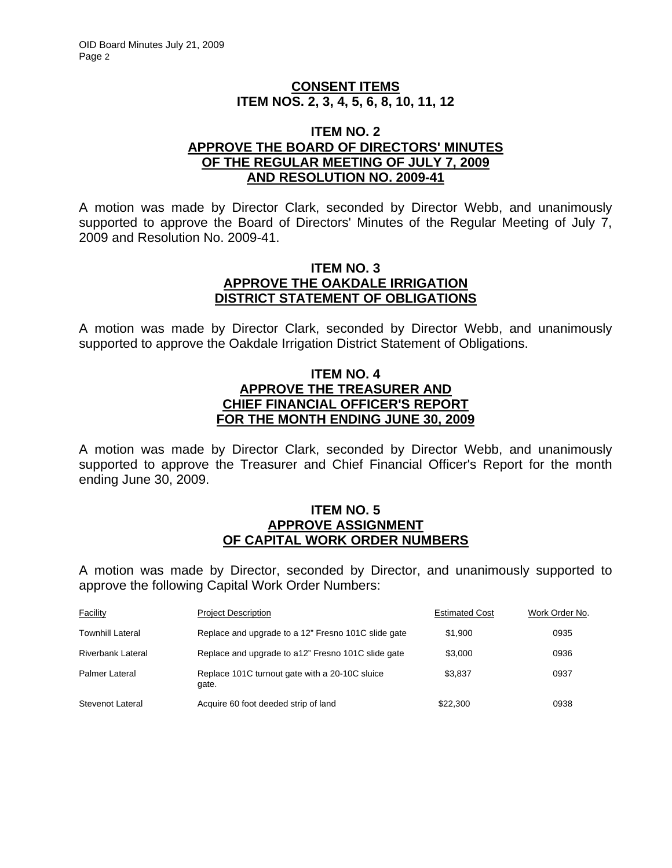## **CONSENT ITEMS ITEM NOS. 2, 3, 4, 5, 6, 8, 10, 11, 12**

#### **ITEM NO. 2 APPROVE THE BOARD OF DIRECTORS' MINUTES OF THE REGULAR MEETING OF JULY 7, 2009 AND RESOLUTION NO. 2009-41**

A motion was made by Director Clark, seconded by Director Webb, and unanimously supported to approve the Board of Directors' Minutes of the Regular Meeting of July 7, 2009 and Resolution No. 2009-41.

#### **ITEM NO. 3 APPROVE THE OAKDALE IRRIGATION DISTRICT STATEMENT OF OBLIGATIONS**

A motion was made by Director Clark, seconded by Director Webb, and unanimously supported to approve the Oakdale Irrigation District Statement of Obligations.

## **ITEM NO. 4 APPROVE THE TREASURER AND CHIEF FINANCIAL OFFICER'S REPORT FOR THE MONTH ENDING JUNE 30, 2009**

A motion was made by Director Clark, seconded by Director Webb, and unanimously supported to approve the Treasurer and Chief Financial Officer's Report for the month ending June 30, 2009.

#### **ITEM NO. 5 APPROVE ASSIGNMENT OF CAPITAL WORK ORDER NUMBERS**

A motion was made by Director, seconded by Director, and unanimously supported to approve the following Capital Work Order Numbers:

| <b>Facility</b>   | <b>Project Description</b>                              | <b>Estimated Cost</b> | Work Order No. |
|-------------------|---------------------------------------------------------|-----------------------|----------------|
| Townhill Lateral  | Replace and upgrade to a 12" Fresno 101C slide gate     | \$1.900               | 0935           |
| Riverbank Lateral | Replace and upgrade to a12" Fresno 101C slide gate      | \$3,000               | 0936           |
| Palmer Lateral    | Replace 101C turnout gate with a 20-10C sluice<br>qate. | \$3.837               | 0937           |
| Stevenot Lateral  | Acquire 60 foot deeded strip of land                    | \$22,300              | 0938           |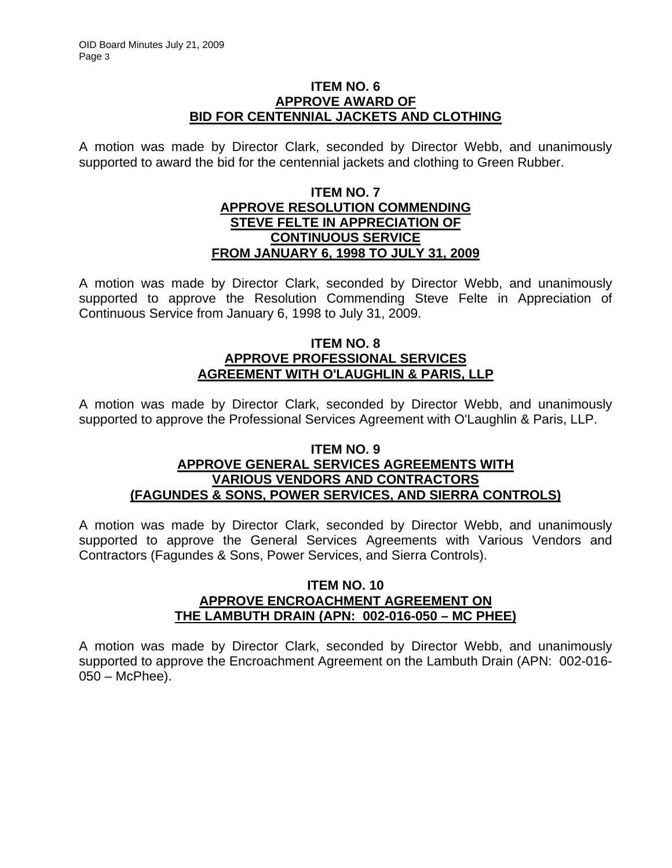### **ITEM NO. 6 APPROVE AWARD OF BID FOR CENTENNIAL JACKETS AND CLOTHING**

A motion was made by Director Clark, seconded by Director Webb, and unanimously supported to award the bid for the centennial jackets and clothing to Green Rubber.

### **ITEM NO. 7 APPROVE RESOLUTION COMMENDING STEVE FELTE IN APPRECIATION OF CONTINUOUS SERVICE FROM JANUARY 6, 1998 TO JULY 31, 2009**

A motion was made by Director Clark, seconded by Director Webb, and unanimously supported to approve the Resolution Commending Steve Felte in Appreciation of Continuous Service from January 6, 1998 to July 31, 2009.

## **ITEM NO. 8 APPROVE PROFESSIONAL SERVICES AGREEMENT WITH O'LAUGHLIN & PARIS, LLP**

A motion was made by Director Clark, seconded by Director Webb, and unanimously supported to approve the Professional Services Agreement with O'Laughlin & Paris, LLP.

## **ITEM NO. 9 APPROVE GENERAL SERVICES AGREEMENTS WITH VARIOUS VENDORS AND CONTRACTORS (FAGUNDES & SONS, POWER SERVICES, AND SIERRA CONTROLS)**

A motion was made by Director Clark, seconded by Director Webb, and unanimously supported to approve the General Services Agreements with Various Vendors and Contractors (Fagundes & Sons, Power Services, and Sierra Controls).

## **ITEM NO. 10 APPROVE ENCROACHMENT AGREEMENT ON THE LAMBUTH DRAIN (APN: 002-016-050 – MC PHEE)**

A motion was made by Director Clark, seconded by Director Webb, and unanimously supported to approve the Encroachment Agreement on the Lambuth Drain (APN: 002-016- 050 – McPhee).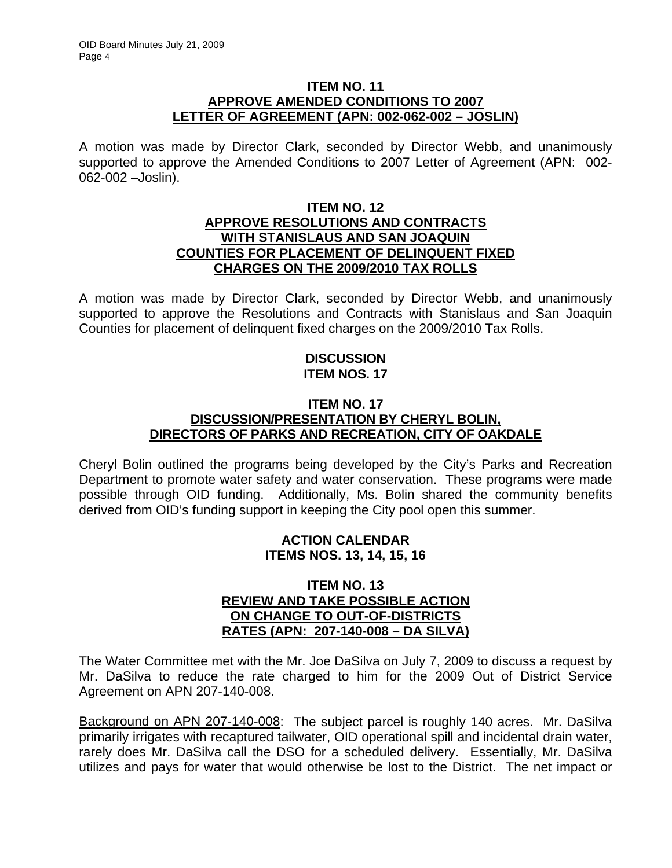### **ITEM NO. 11 APPROVE AMENDED CONDITIONS TO 2007 LETTER OF AGREEMENT (APN: 002-062-002 – JOSLIN)**

A motion was made by Director Clark, seconded by Director Webb, and unanimously supported to approve the Amended Conditions to 2007 Letter of Agreement (APN: 002- 062-002 –Joslin).

### **ITEM NO. 12 APPROVE RESOLUTIONS AND CONTRACTS WITH STANISLAUS AND SAN JOAQUIN COUNTIES FOR PLACEMENT OF DELINQUENT FIXED CHARGES ON THE 2009/2010 TAX ROLLS**

A motion was made by Director Clark, seconded by Director Webb, and unanimously supported to approve the Resolutions and Contracts with Stanislaus and San Joaquin Counties for placement of delinquent fixed charges on the 2009/2010 Tax Rolls.

## **DISCUSSION ITEM NOS. 17**

## **ITEM NO. 17 DISCUSSION/PRESENTATION BY CHERYL BOLIN, DIRECTORS OF PARKS AND RECREATION, CITY OF OAKDALE**

Cheryl Bolin outlined the programs being developed by the City's Parks and Recreation Department to promote water safety and water conservation. These programs were made possible through OID funding. Additionally, Ms. Bolin shared the community benefits derived from OID's funding support in keeping the City pool open this summer.

## **ACTION CALENDAR ITEMS NOS. 13, 14, 15, 16**

#### **ITEM NO. 13 REVIEW AND TAKE POSSIBLE ACTION ON CHANGE TO OUT-OF-DISTRICTS RATES (APN: 207-140-008 – DA SILVA)**

The Water Committee met with the Mr. Joe DaSilva on July 7, 2009 to discuss a request by Mr. DaSilva to reduce the rate charged to him for the 2009 Out of District Service Agreement on APN 207-140-008.

Background on APN 207-140-008: The subject parcel is roughly 140 acres. Mr. DaSilva primarily irrigates with recaptured tailwater, OID operational spill and incidental drain water, rarely does Mr. DaSilva call the DSO for a scheduled delivery. Essentially, Mr. DaSilva utilizes and pays for water that would otherwise be lost to the District. The net impact or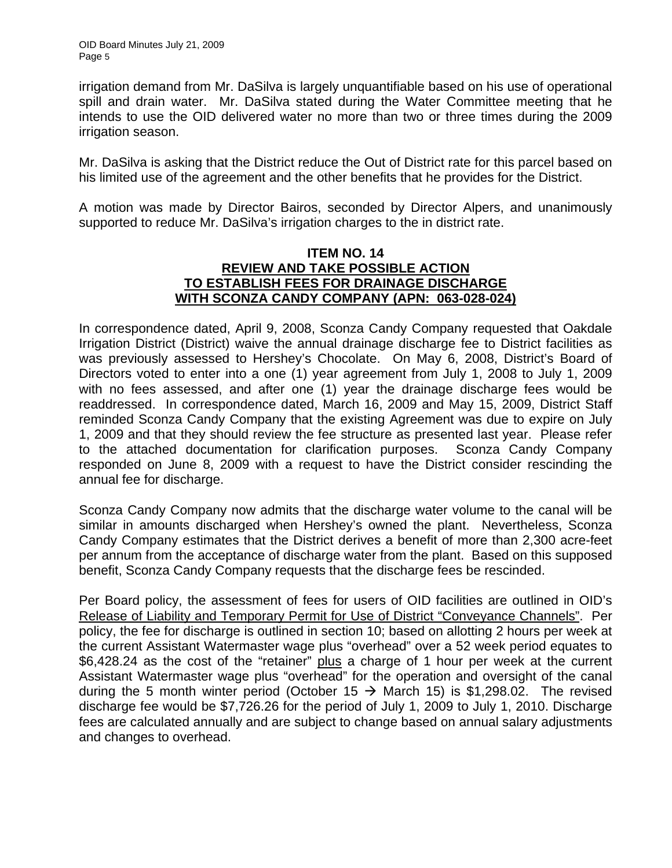irrigation demand from Mr. DaSilva is largely unquantifiable based on his use of operational spill and drain water. Mr. DaSilva stated during the Water Committee meeting that he intends to use the OID delivered water no more than two or three times during the 2009 irrigation season.

Mr. DaSilva is asking that the District reduce the Out of District rate for this parcel based on his limited use of the agreement and the other benefits that he provides for the District.

A motion was made by Director Bairos, seconded by Director Alpers, and unanimously supported to reduce Mr. DaSilva's irrigation charges to the in district rate.

## **ITEM NO. 14 REVIEW AND TAKE POSSIBLE ACTION TO ESTABLISH FEES FOR DRAINAGE DISCHARGE WITH SCONZA CANDY COMPANY (APN: 063-028-024)**

In correspondence dated, April 9, 2008, Sconza Candy Company requested that Oakdale Irrigation District (District) waive the annual drainage discharge fee to District facilities as was previously assessed to Hershey's Chocolate. On May 6, 2008, District's Board of Directors voted to enter into a one (1) year agreement from July 1, 2008 to July 1, 2009 with no fees assessed, and after one (1) year the drainage discharge fees would be readdressed. In correspondence dated, March 16, 2009 and May 15, 2009, District Staff reminded Sconza Candy Company that the existing Agreement was due to expire on July 1, 2009 and that they should review the fee structure as presented last year. Please refer to the attached documentation for clarification purposes. Sconza Candy Company responded on June 8, 2009 with a request to have the District consider rescinding the annual fee for discharge.

Sconza Candy Company now admits that the discharge water volume to the canal will be similar in amounts discharged when Hershey's owned the plant. Nevertheless, Sconza Candy Company estimates that the District derives a benefit of more than 2,300 acre-feet per annum from the acceptance of discharge water from the plant. Based on this supposed benefit, Sconza Candy Company requests that the discharge fees be rescinded.

Per Board policy, the assessment of fees for users of OID facilities are outlined in OID's Release of Liability and Temporary Permit for Use of District "Conveyance Channels". Per policy, the fee for discharge is outlined in section 10; based on allotting 2 hours per week at the current Assistant Watermaster wage plus "overhead" over a 52 week period equates to \$6,428.24 as the cost of the "retainer" plus a charge of 1 hour per week at the current Assistant Watermaster wage plus "overhead" for the operation and oversight of the canal during the 5 month winter period (October 15  $\rightarrow$  March 15) is \$1,298.02. The revised discharge fee would be \$7,726.26 for the period of July 1, 2009 to July 1, 2010. Discharge fees are calculated annually and are subject to change based on annual salary adjustments and changes to overhead.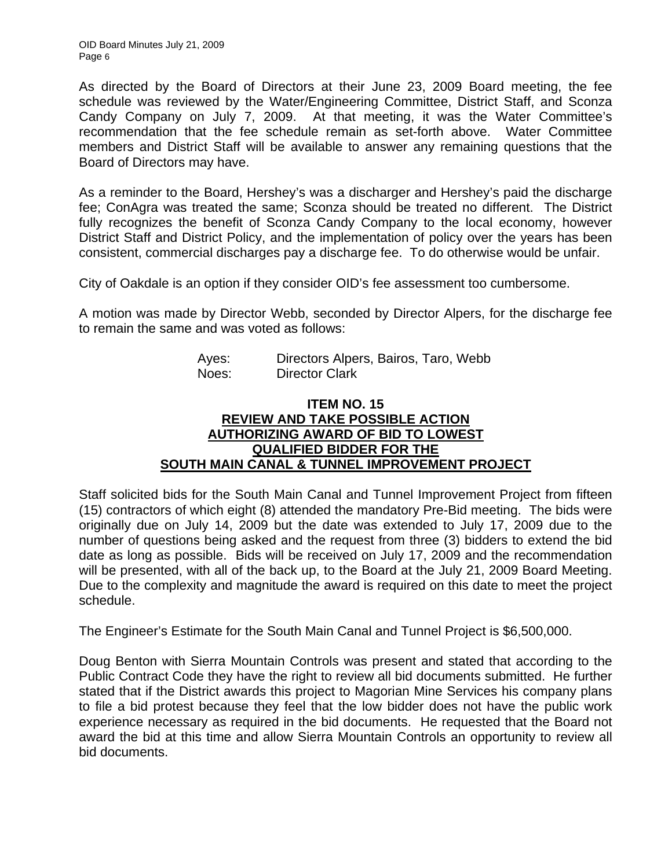As directed by the Board of Directors at their June 23, 2009 Board meeting, the fee schedule was reviewed by the Water/Engineering Committee, District Staff, and Sconza Candy Company on July 7, 2009. At that meeting, it was the Water Committee's recommendation that the fee schedule remain as set-forth above. Water Committee members and District Staff will be available to answer any remaining questions that the Board of Directors may have.

As a reminder to the Board, Hershey's was a discharger and Hershey's paid the discharge fee; ConAgra was treated the same; Sconza should be treated no different. The District fully recognizes the benefit of Sconza Candy Company to the local economy, however District Staff and District Policy, and the implementation of policy over the years has been consistent, commercial discharges pay a discharge fee. To do otherwise would be unfair.

City of Oakdale is an option if they consider OID's fee assessment too cumbersome.

A motion was made by Director Webb, seconded by Director Alpers, for the discharge fee to remain the same and was voted as follows:

| Ayes: | Directors Alpers, Bairos, Taro, Webb |
|-------|--------------------------------------|
| Noes: | <b>Director Clark</b>                |

## **ITEM NO. 15 REVIEW AND TAKE POSSIBLE ACTION AUTHORIZING AWARD OF BID TO LOWEST QUALIFIED BIDDER FOR THE SOUTH MAIN CANAL & TUNNEL IMPROVEMENT PROJECT**

Staff solicited bids for the South Main Canal and Tunnel Improvement Project from fifteen (15) contractors of which eight (8) attended the mandatory Pre-Bid meeting. The bids were originally due on July 14, 2009 but the date was extended to July 17, 2009 due to the number of questions being asked and the request from three (3) bidders to extend the bid date as long as possible. Bids will be received on July 17, 2009 and the recommendation will be presented, with all of the back up, to the Board at the July 21, 2009 Board Meeting. Due to the complexity and magnitude the award is required on this date to meet the project schedule.

The Engineer's Estimate for the South Main Canal and Tunnel Project is \$6,500,000.

Doug Benton with Sierra Mountain Controls was present and stated that according to the Public Contract Code they have the right to review all bid documents submitted. He further stated that if the District awards this project to Magorian Mine Services his company plans to file a bid protest because they feel that the low bidder does not have the public work experience necessary as required in the bid documents. He requested that the Board not award the bid at this time and allow Sierra Mountain Controls an opportunity to review all bid documents.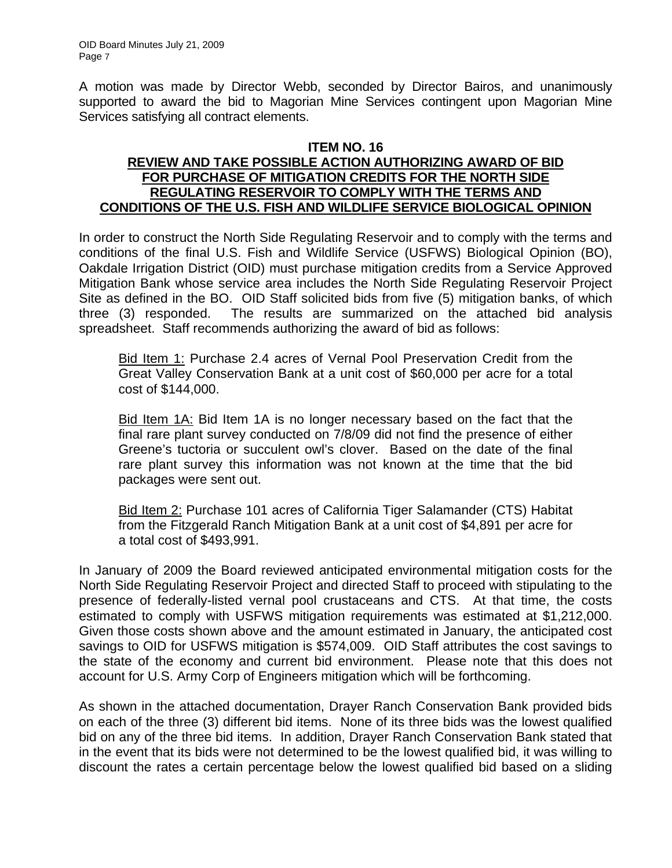A motion was made by Director Webb, seconded by Director Bairos, and unanimously supported to award the bid to Magorian Mine Services contingent upon Magorian Mine Services satisfying all contract elements.

### **ITEM NO. 16 REVIEW AND TAKE POSSIBLE ACTION AUTHORIZING AWARD OF BID FOR PURCHASE OF MITIGATION CREDITS FOR THE NORTH SIDE REGULATING RESERVOIR TO COMPLY WITH THE TERMS AND CONDITIONS OF THE U.S. FISH AND WILDLIFE SERVICE BIOLOGICAL OPINION**

In order to construct the North Side Regulating Reservoir and to comply with the terms and conditions of the final U.S. Fish and Wildlife Service (USFWS) Biological Opinion (BO), Oakdale Irrigation District (OID) must purchase mitigation credits from a Service Approved Mitigation Bank whose service area includes the North Side Regulating Reservoir Project Site as defined in the BO. OID Staff solicited bids from five (5) mitigation banks, of which three (3) responded. The results are summarized on the attached bid analysis spreadsheet. Staff recommends authorizing the award of bid as follows:

Bid Item 1: Purchase 2.4 acres of Vernal Pool Preservation Credit from the Great Valley Conservation Bank at a unit cost of \$60,000 per acre for a total cost of \$144,000.

Bid Item 1A: Bid Item 1A is no longer necessary based on the fact that the final rare plant survey conducted on 7/8/09 did not find the presence of either Greene's tuctoria or succulent owl's clover. Based on the date of the final rare plant survey this information was not known at the time that the bid packages were sent out.

Bid Item 2: Purchase 101 acres of California Tiger Salamander (CTS) Habitat from the Fitzgerald Ranch Mitigation Bank at a unit cost of \$4,891 per acre for a total cost of \$493,991.

In January of 2009 the Board reviewed anticipated environmental mitigation costs for the North Side Regulating Reservoir Project and directed Staff to proceed with stipulating to the presence of federally-listed vernal pool crustaceans and CTS. At that time, the costs estimated to comply with USFWS mitigation requirements was estimated at \$1,212,000. Given those costs shown above and the amount estimated in January, the anticipated cost savings to OID for USFWS mitigation is \$574,009. OID Staff attributes the cost savings to the state of the economy and current bid environment. Please note that this does not account for U.S. Army Corp of Engineers mitigation which will be forthcoming.

As shown in the attached documentation, Drayer Ranch Conservation Bank provided bids on each of the three (3) different bid items. None of its three bids was the lowest qualified bid on any of the three bid items. In addition, Drayer Ranch Conservation Bank stated that in the event that its bids were not determined to be the lowest qualified bid, it was willing to discount the rates a certain percentage below the lowest qualified bid based on a sliding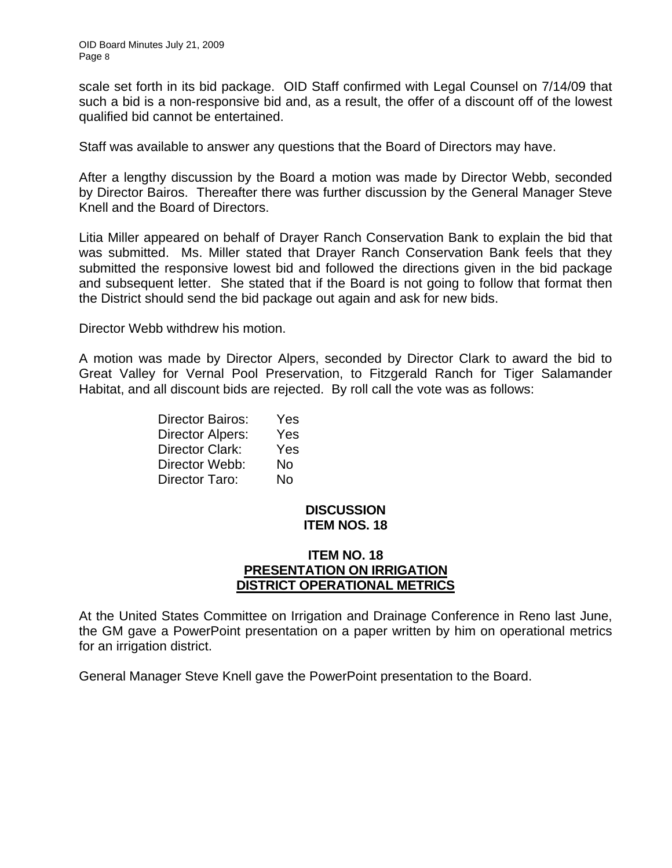scale set forth in its bid package. OID Staff confirmed with Legal Counsel on 7/14/09 that such a bid is a non-responsive bid and, as a result, the offer of a discount off of the lowest qualified bid cannot be entertained.

Staff was available to answer any questions that the Board of Directors may have.

After a lengthy discussion by the Board a motion was made by Director Webb, seconded by Director Bairos. Thereafter there was further discussion by the General Manager Steve Knell and the Board of Directors.

Litia Miller appeared on behalf of Drayer Ranch Conservation Bank to explain the bid that was submitted. Ms. Miller stated that Drayer Ranch Conservation Bank feels that they submitted the responsive lowest bid and followed the directions given in the bid package and subsequent letter. She stated that if the Board is not going to follow that format then the District should send the bid package out again and ask for new bids.

Director Webb withdrew his motion.

A motion was made by Director Alpers, seconded by Director Clark to award the bid to Great Valley for Vernal Pool Preservation, to Fitzgerald Ranch for Tiger Salamander Habitat, and all discount bids are rejected. By roll call the vote was as follows:

| <b>Director Bairos:</b> | Yes |
|-------------------------|-----|
| Director Alpers:        | Yes |
| Director Clark:         | Yes |
| Director Webb:          | No  |
| Director Taro:          | No  |

#### **DISCUSSION ITEM NOS. 18**

### **ITEM NO. 18 PRESENTATION ON IRRIGATION DISTRICT OPERATIONAL METRICS**

At the United States Committee on Irrigation and Drainage Conference in Reno last June, the GM gave a PowerPoint presentation on a paper written by him on operational metrics for an irrigation district.

General Manager Steve Knell gave the PowerPoint presentation to the Board.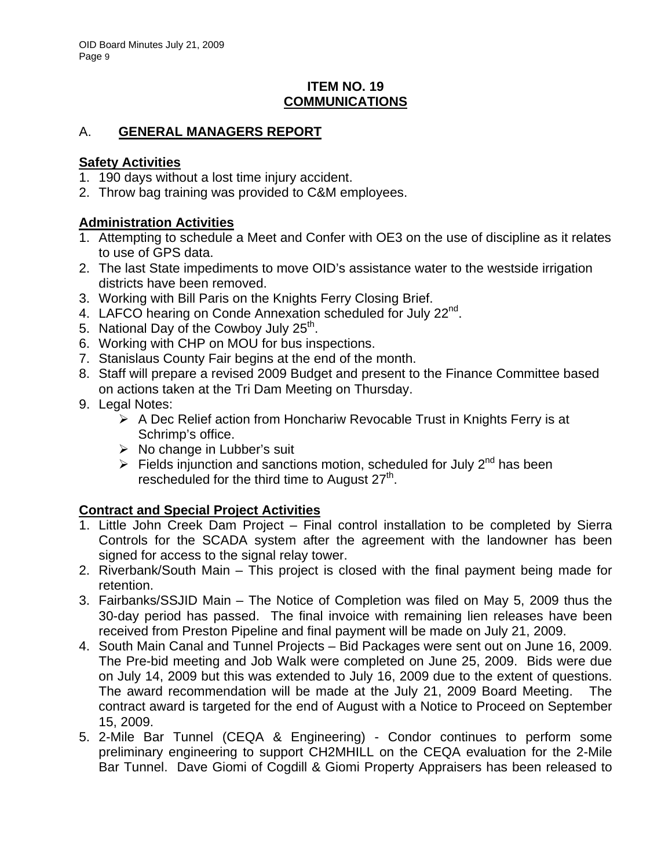## **ITEM NO. 19 COMMUNICATIONS**

# A. **GENERAL MANAGERS REPORT**

## **Safety Activities**

- 1. 190 days without a lost time injury accident.
- 2. Throw bag training was provided to C&M employees.

# **Administration Activities**

- 1. Attempting to schedule a Meet and Confer with OE3 on the use of discipline as it relates to use of GPS data.
- 2. The last State impediments to move OID's assistance water to the westside irrigation districts have been removed.
- 3. Working with Bill Paris on the Knights Ferry Closing Brief.
- 4. LAFCO hearing on Conde Annexation scheduled for July 22<sup>nd</sup>.
- 5. National Day of the Cowboy July  $25<sup>th</sup>$ .
- 6. Working with CHP on MOU for bus inspections.
- 7. Stanislaus County Fair begins at the end of the month.
- 8. Staff will prepare a revised 2009 Budget and present to the Finance Committee based on actions taken at the Tri Dam Meeting on Thursday.
- 9. Legal Notes:
	- $\triangleright$  A Dec Relief action from Honchariw Revocable Trust in Knights Ferry is at Schrimp's office.
	- $\triangleright$  No change in Lubber's suit
	- $\triangleright$  Fields injunction and sanctions motion, scheduled for July 2<sup>nd</sup> has been rescheduled for the third time to August  $27<sup>th</sup>$ .

# **Contract and Special Project Activities**

- 1. Little John Creek Dam Project Final control installation to be completed by Sierra Controls for the SCADA system after the agreement with the landowner has been signed for access to the signal relay tower.
- 2. Riverbank/South Main This project is closed with the final payment being made for retention.
- 3. Fairbanks/SSJID Main The Notice of Completion was filed on May 5, 2009 thus the 30-day period has passed. The final invoice with remaining lien releases have been received from Preston Pipeline and final payment will be made on July 21, 2009.
- 4. South Main Canal and Tunnel Projects Bid Packages were sent out on June 16, 2009. The Pre-bid meeting and Job Walk were completed on June 25, 2009. Bids were due on July 14, 2009 but this was extended to July 16, 2009 due to the extent of questions. The award recommendation will be made at the July 21, 2009 Board Meeting. The contract award is targeted for the end of August with a Notice to Proceed on September 15, 2009.
- 5. 2-Mile Bar Tunnel (CEQA & Engineering) Condor continues to perform some preliminary engineering to support CH2MHILL on the CEQA evaluation for the 2-Mile Bar Tunnel. Dave Giomi of Cogdill & Giomi Property Appraisers has been released to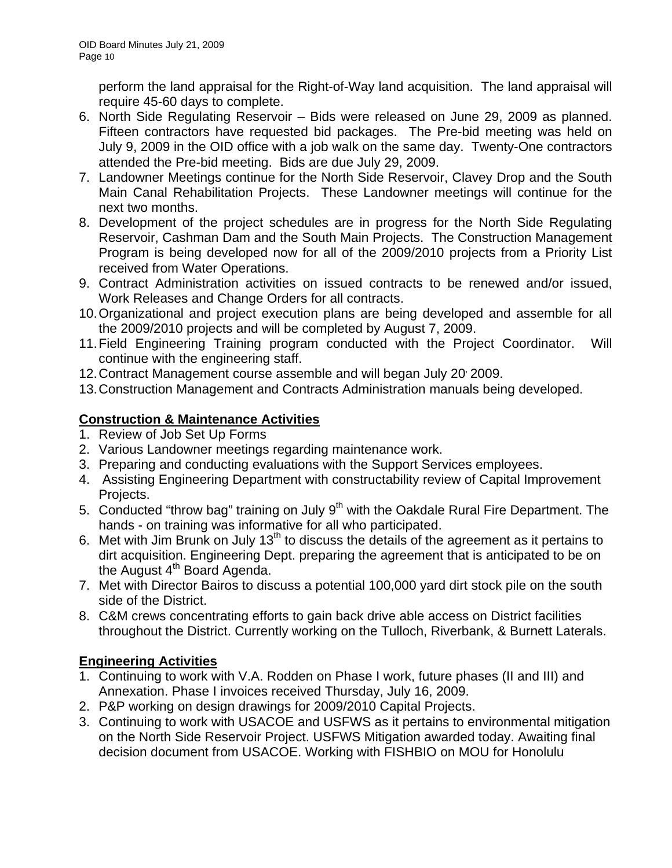perform the land appraisal for the Right-of-Way land acquisition. The land appraisal will require 45-60 days to complete.

- 6. North Side Regulating Reservoir Bids were released on June 29, 2009 as planned. Fifteen contractors have requested bid packages. The Pre-bid meeting was held on July 9, 2009 in the OID office with a job walk on the same day. Twenty-One contractors attended the Pre-bid meeting. Bids are due July 29, 2009.
- 7. Landowner Meetings continue for the North Side Reservoir, Clavey Drop and the South Main Canal Rehabilitation Projects. These Landowner meetings will continue for the next two months.
- 8. Development of the project schedules are in progress for the North Side Regulating Reservoir, Cashman Dam and the South Main Projects. The Construction Management Program is being developed now for all of the 2009/2010 projects from a Priority List received from Water Operations.
- 9. Contract Administration activities on issued contracts to be renewed and/or issued, Work Releases and Change Orders for all contracts.
- 10. Organizational and project execution plans are being developed and assemble for all the 2009/2010 projects and will be completed by August 7, 2009.
- 11. Field Engineering Training program conducted with the Project Coordinator. Will continue with the engineering staff.
- 12. Contract Management course assemble and will began July 20 2009.
- 13. Construction Management and Contracts Administration manuals being developed.

# **Construction & Maintenance Activities**

- 1. Review of Job Set Up Forms
- 2. Various Landowner meetings regarding maintenance work.
- 3. Preparing and conducting evaluations with the Support Services employees.
- 4. Assisting Engineering Department with constructability review of Capital Improvement Projects.
- 5. Conducted "throw bag" training on July  $9<sup>th</sup>$  with the Oakdale Rural Fire Department. The hands - on training was informative for all who participated.
- 6. Met with Jim Brunk on July 13<sup>th</sup> to discuss the details of the agreement as it pertains to dirt acquisition. Engineering Dept. preparing the agreement that is anticipated to be on the August  $4<sup>th</sup>$  Board Agenda.
- 7. Met with Director Bairos to discuss a potential 100,000 yard dirt stock pile on the south side of the District.
- 8. C&M crews concentrating efforts to gain back drive able access on District facilities throughout the District. Currently working on the Tulloch, Riverbank, & Burnett Laterals.

# **Engineering Activities**

- 1. Continuing to work with V.A. Rodden on Phase I work, future phases (II and III) and Annexation. Phase I invoices received Thursday, July 16, 2009.
- 2. P&P working on design drawings for 2009/2010 Capital Projects.
- 3. Continuing to work with USACOE and USFWS as it pertains to environmental mitigation on the North Side Reservoir Project. USFWS Mitigation awarded today. Awaiting final decision document from USACOE. Working with FISHBIO on MOU for Honolulu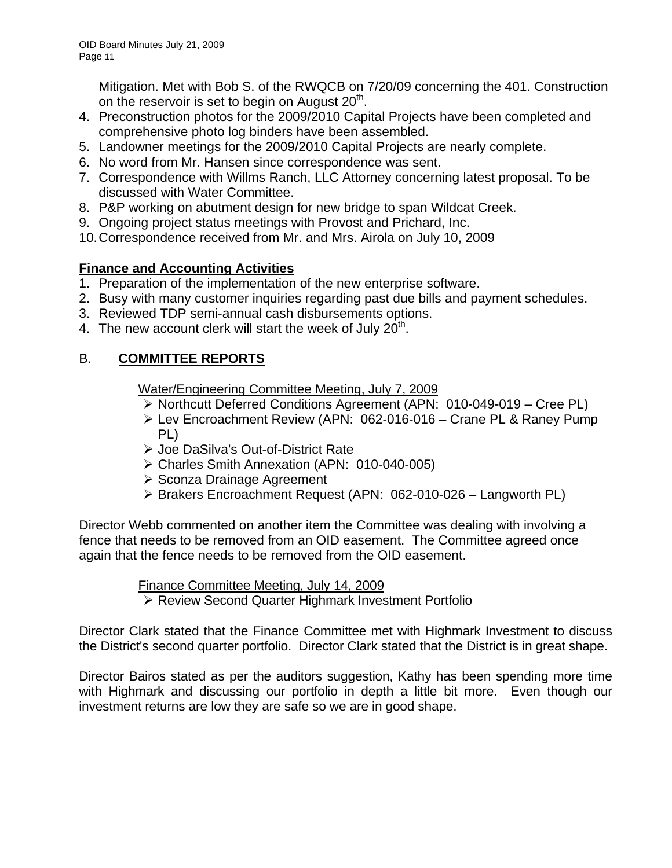Mitigation. Met with Bob S. of the RWQCB on 7/20/09 concerning the 401. Construction on the reservoir is set to begin on August  $20<sup>th</sup>$ .

- 4. Preconstruction photos for the 2009/2010 Capital Projects have been completed and comprehensive photo log binders have been assembled.
- 5. Landowner meetings for the 2009/2010 Capital Projects are nearly complete.
- 6. No word from Mr. Hansen since correspondence was sent.
- 7. Correspondence with Willms Ranch, LLC Attorney concerning latest proposal. To be discussed with Water Committee.
- 8. P&P working on abutment design for new bridge to span Wildcat Creek.
- 9. Ongoing project status meetings with Provost and Prichard, Inc.
- 10. Correspondence received from Mr. and Mrs. Airola on July 10, 2009

# **Finance and Accounting Activities**

- 1. Preparation of the implementation of the new enterprise software.
- 2. Busy with many customer inquiries regarding past due bills and payment schedules.
- 3. Reviewed TDP semi-annual cash disbursements options.
- 4. The new account clerk will start the week of July  $20<sup>th</sup>$ .

# B. **COMMITTEE REPORTS**

Water/Engineering Committee Meeting, July 7, 2009

- ¾ Northcutt Deferred Conditions Agreement (APN: 010-049-019 Cree PL)
- ¾ Lev Encroachment Review (APN: 062-016-016 Crane PL & Raney Pump PL)
- ¾ Joe DaSilva's Out-of-District Rate
- ¾ Charles Smith Annexation (APN: 010-040-005)
- ¾ Sconza Drainage Agreement
- ¾ Brakers Encroachment Request (APN: 062-010-026 Langworth PL)

Director Webb commented on another item the Committee was dealing with involving a fence that needs to be removed from an OID easement. The Committee agreed once again that the fence needs to be removed from the OID easement.

> Finance Committee Meeting, July 14, 2009 ¾ Review Second Quarter Highmark Investment Portfolio

Director Clark stated that the Finance Committee met with Highmark Investment to discuss the District's second quarter portfolio. Director Clark stated that the District is in great shape.

Director Bairos stated as per the auditors suggestion, Kathy has been spending more time with Highmark and discussing our portfolio in depth a little bit more. Even though our investment returns are low they are safe so we are in good shape.